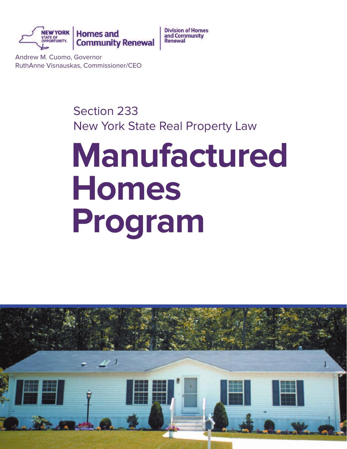

**Division of Homes**<br>and Community **Renewal** 

Andrew M. Cuomo, Governor RuthAnne Visnauskas, Commissioner/CEO

## Section 233 New York State Real Property Law

# **Manufactured Homes Program**

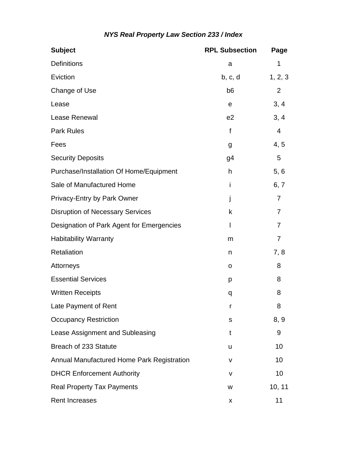### *NYS Real Property Law Section 233 / Index*

| <b>Subject</b>                             | <b>RPL Subsection</b> | Page           |
|--------------------------------------------|-----------------------|----------------|
| <b>Definitions</b>                         | a                     | 1              |
| Eviction                                   | b, c, d               | 1, 2, 3        |
| Change of Use                              | b <sub>6</sub>        | $\overline{2}$ |
| Lease                                      | e                     | 3, 4           |
| Lease Renewal                              | e <sub>2</sub>        | 3, 4           |
| <b>Park Rules</b>                          | f                     | $\overline{4}$ |
| Fees                                       | g                     | 4, 5           |
| <b>Security Deposits</b>                   | g <sub>4</sub>        | 5              |
| Purchase/Installation Of Home/Equipment    | h                     | 5, 6           |
| Sale of Manufactured Home                  | i                     | 6, 7           |
| Privacy-Entry by Park Owner                | j                     | 7              |
| <b>Disruption of Necessary Services</b>    | k                     | $\overline{7}$ |
| Designation of Park Agent for Emergencies  | I                     | $\overline{7}$ |
| <b>Habitability Warranty</b>               | m                     | $\overline{7}$ |
| Retaliation                                | n                     | 7, 8           |
| Attorneys                                  | O                     | 8              |
| <b>Essential Services</b>                  | p                     | 8              |
| <b>Written Receipts</b>                    | q                     | 8              |
| Late Payment of Rent                       | r                     | 8              |
| <b>Occupancy Restriction</b>               | S                     | 8, 9           |
| Lease Assignment and Subleasing            | t                     | 9              |
| Breach of 233 Statute                      | u                     | 10             |
| Annual Manufactured Home Park Registration | v                     | 10             |
| <b>DHCR Enforcement Authority</b>          | $\mathsf{V}$          | 10             |
| <b>Real Property Tax Payments</b>          | W                     | 10, 11         |
| <b>Rent Increases</b>                      | X                     | 11             |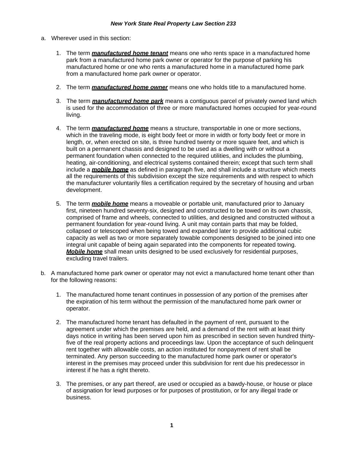- a. Wherever used in this section:
	- 1. The term *manufactured home tenant* means one who rents space in a manufactured home park from a manufactured home park owner or operator for the purpose of parking his manufactured home or one who rents a manufactured home in a manufactured home park from a manufactured home park owner or operator.
	- 2. The term *manufactured home owner* means one who holds title to a manufactured home.
	- 3. The term *manufactured home park* means a contiguous parcel of privately owned land which is used for the accommodation of three or more manufactured homes occupied for year-round living.
	- 4. The term *manufactured home* means a structure, transportable in one or more sections, which in the traveling mode, is eight body feet or more in width or forty body feet or more in length, or, when erected on site, is three hundred twenty or more square feet, and which is built on a permanent chassis and designed to be used as a dwelling with or without a permanent foundation when connected to the required utilities, and includes the plumbing, heating, air-conditioning, and electrical systems contained therein; except that such term shall include a *mobile home* as defined in paragraph five, and shall include a structure which meets all the requirements of this subdivision except the size requirements and with respect to which the manufacturer voluntarily files a certification required by the secretary of housing and urban development.
	- 5. The term *mobile home* means a moveable or portable unit, manufactured prior to January first, nineteen hundred seventy-six, designed and constructed to be towed on its own chassis, comprised of frame and wheels, connected to utilities, and designed and constructed without a permanent foundation for year-round living. A unit may contain parts that may be folded, collapsed or telescoped when being towed and expanded later to provide additional cubic capacity as well as two or more separately towable components designed to be joined into one integral unit capable of being again separated into the components for repeated towing. *Mobile home* shall mean units designed to be used exclusively for residential purposes, excluding travel trailers.
- b. A manufactured home park owner or operator may not evict a manufactured home tenant other than for the following reasons:
	- 1. The manufactured home tenant continues in possession of any portion of the premises after the expiration of his term without the permission of the manufactured home park owner or operator.
	- 2. The manufactured home tenant has defaulted in the payment of rent, pursuant to the agreement under which the premises are held, and a demand of the rent with at least thirty days notice in writing has been served upon him as prescribed in section seven hundred thirtyfive of the real property actions and proceedings law. Upon the acceptance of such delinquent rent together with allowable costs, an action instituted for nonpayment of rent shall be terminated. Any person succeeding to the manufactured home park owner or operator's interest in the premises may proceed under this subdivision for rent due his predecessor in interest if he has a right thereto.
	- 3. The premises, or any part thereof, are used or occupied as a bawdy-house, or house or place of assignation for lewd purposes or for purposes of prostitution, or for any illegal trade or business.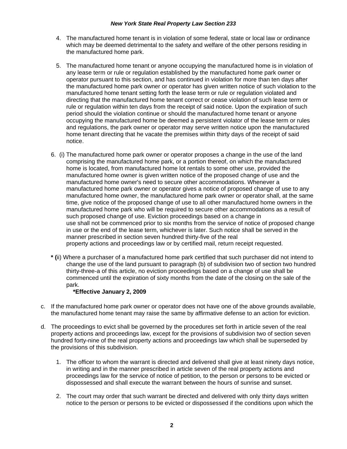- 4. The manufactured home tenant is in violation of some federal, state or local law or ordinance which may be deemed detrimental to the safety and welfare of the other persons residing in the manufactured home park.
- 5. The manufactured home tenant or anyone occupying the manufactured home is in violation of any lease term or rule or regulation established by the manufactured home park owner or operator pursuant to this section, and has continued in violation for more than ten days after the manufactured home park owner or operator has given written notice of such violation to the manufactured home tenant setting forth the lease term or rule or regulation violated and directing that the manufactured home tenant correct or cease violation of such lease term or rule or regulation within ten days from the receipt of said notice. Upon the expiration of such period should the violation continue or should the manufactured home tenant or anyone occupying the manufactured home be deemed a persistent violator of the lease term or rules and regulations, the park owner or operator may serve written notice upon the manufactured home tenant directing that he vacate the premises within thirty days of the receipt of said notice.
- 6. (i) The manufactured home park owner or operator proposes a change in the use of the land comprising the manufactured home park, or a portion thereof, on which the manufactured home is located, from manufactured home lot rentals to some other use, provided the manufactured home owner is given written notice of the proposed change of use and the manufactured home owner's need to secure other accommodations. Whenever a manufactured home park owner or operator gives a notice of proposed change of use to any manufactured home owner, the manufactured home park owner or operator shall, at the same time, give notice of the proposed change of use to all other manufactured home owners in the manufactured home park who will be required to secure other accommodations as a result of such proposed change of use. Eviction proceedings based on a change in use shall not be commenced prior to six months from the service of notice of proposed change in use or the end of the lease term, whichever is later. Such notice shall be served in the manner prescribed in section seven hundred thirty-five of the real property actions and proceedings law or by certified mail, return receipt requested.
- **\* (**ii) Where a purchaser of a manufactured home park certified that such purchaser did not intend to change the use of the land pursuant to paragraph (b) of subdivision two of section two hundred thirty-three-a of this article, no eviction proceedings based on a change of use shall be commenced until the expiration of sixty months from the date of the closing on the sale of the park.

#### **\*Effective January 2, 2009**

- c. If the manufactured home park owner or operator does not have one of the above grounds available, the manufactured home tenant may raise the same by affirmative defense to an action for eviction.
- d. The proceedings to evict shall be governed by the procedures set forth in article seven of the real property actions and proceedings law, except for the provisions of subdivision two of section seven hundred forty-nine of the real property actions and proceedings law which shall be superseded by the provisions of this subdivision.
	- 1. The officer to whom the warrant is directed and delivered shall give at least ninety days notice, in writing and in the manner prescribed in article seven of the real property actions and proceedings law for the service of notice of petition, to the person or persons to be evicted or dispossessed and shall execute the warrant between the hours of sunrise and sunset.
	- 2. The court may order that such warrant be directed and delivered with only thirty days written notice to the person or persons to be evicted or dispossessed if the conditions upon which the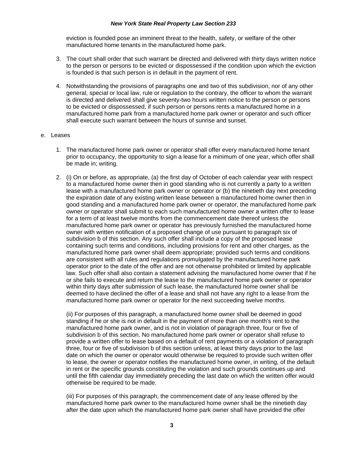eviction is founded pose an imminent threat to the health, safety, or welfare of the other manufactured home tenants in the manufactured home park.

- 3. The court shall order that such warrant be directed and delivered with thirty days written notice to the person or persons to be evicted or dispossessed if the condition upon which the eviction is founded is that such person is in default in the payment of rent.
- 4. Notwithstanding the provisions of paragraphs one and two of this subdivision, nor of any other general, special or local law, rule or regulation to the contrary, the officer to whom the warrant is directed and delivered shall give seventy-two hours written notice to the person or persons to be evicted or dispossessed, if such person or persons rents a manufactured home in a manufactured home park from a manufactured home park owner or operator and such officer shall execute such warrant between the hours of sunrise and sunset.

#### e. Leases

- 1. The manufactured home park owner or operator shall offer every manufactured home tenant prior to occupancy, the opportunity to sign a lease for a minimum of one year, which offer shall be made in; writing.
- 2. (i) On or before, as appropriate, (a) the first day of October of each calendar year with respect to a manufactured home owner then in good standing who is not currently a party to a written lease with a manufactured home park owner or operator or (b) the ninetieth day next preceding the expiration date of any existing written lease between a manufactured home owner then in good standing and a manufactured home park owner or operator, the manufactured home park owner or operator shall submit to each such manufactured home owner a written offer to lease for a term of at least twelve months from the commencement date thereof unless the manufactured home park owner or operator has previously furnished the manufactured home owner with written notification of a proposed change of use pursuant to paragraph six of subdivision b of this section. Any such offer shall include a copy of the proposed lease containing such terms and conditions, including provisions for rent and other charges, as the manufactured home park owner shall deem appropriate; provided such terms and conditions are consistent with all rules and regulations promulgated by the manufactured home park operator prior to the date of the offer and are not otherwise prohibited or limited by applicable law. Such offer shall also contain a statement advising the manufactured home owner that if he or she fails to execute and return the lease to the manufactured home park owner or operator within thirty days after submission of such lease, the manufactured home owner shall be deemed to have declined the offer of a lease and shall not have any right to a lease from the manufactured home park owner or operator for the next succeeding twelve months.

(ii) For purposes of this paragraph, a manufactured home owner shall be deemed in good standing if he or she is not in default in the payment of more than one month's rent to the manufactured home park owner, and is not in violation of paragraph three, four or five of subdivision b of this section. No manufactured home park owner or operator shall refuse to provide a written offer to lease based on a default of rent payments or a violation of paragraph three, four or five of subdivision b of this section unless, at least thirty days prior to the last date on which the owner or operator would otherwise be required to provide such written offer to lease, the owner or operator notifies the manufactured home owner, in writing, of the default in rent or the specific grounds constituting the violation and such grounds continues up and until the fifth calendar day immediately preceding the last date on which the written offer would otherwise be required to be made.

(iii) For purposes of this paragraph, the commencement date of any lease offered by the manufactured home park owner to the manufactured home owner shall be the ninetieth day after the date upon which the manufactured home park owner shall have provided the offer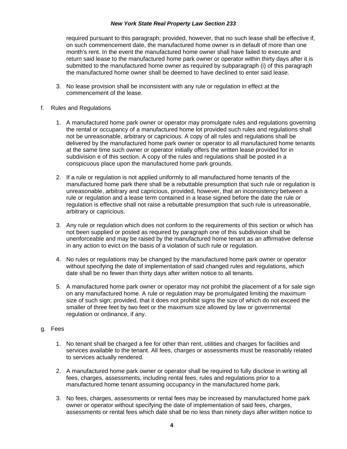required pursuant to this paragraph; provided, however, that no such lease shall be effective if, on such commencement date, the manufactured home owner is in default of more than one month's rent. In the event the manufactured home owner shall have failed to execute and return said lease to the manufactured home park owner or operator within thirty days after it is submitted to the manufactured home owner as required by subparagraph (i) of this paragraph the manufactured home owner shall be deemed to have declined to enter said lease.

- 3. No lease provision shall be inconsistent with any rule or regulation in effect at the commencement of the lease.
- f. Rules and Regulations
	- 1. A manufactured home park owner or operator may promulgate rules and regulations governing the rental or occupancy of a manufactured home lot provided such rules and regulations shall not be unreasonable, arbitrary or capricious. A copy of all rules and regulations shall be delivered by the manufactured home park owner or operator to all manufactured home tenants at the same time such owner or operator initially offers the written lease provided for in subdivision e of this section. A copy of the rules and regulations shall be posted in a conspicuous place upon the manufactured home park grounds.
	- 2. If a rule or regulation is not applied uniformly to all manufactured home tenants of the manufactured home park there shall be a rebuttable presumption that such rule or regulation is unreasonable, arbitrary and capricious, provided, however, that an inconsistency between a rule or regulation and a lease term contained in a lease signed before the date the rule or regulation is effective shall not raise a rebuttable presumption that such rule is unreasonable, arbitrary or capricious.
	- 3. Any rule or regulation which does not conform to the requirements of this section or which has not been supplied or posted as required by paragraph one of this subdivision shall be unenforceable and may be raised by the manufactured home tenant as an affirmative defense in any action to evict on the basis of a violation of such rule or regulation.
	- 4. No rules or regulations may be changed by the manufactured home park owner or operator without specifying the date of implementation of said changed rules and regulations, which date shall be no fewer than thirty days after written notice to all tenants.
	- 5. A manufactured home park owner or operator may not prohibit the placement of a for sale sign on any manufactured home. A rule or regulation may be promulgated limiting the maximum size of such sign; provided, that it does not prohibit signs the size of which do not exceed the smaller of three feet by two feet or the maximum size allowed by law or governmental regulation or ordinance, if any.

#### g. Fees

- 1. No tenant shall be charged a fee for other than rent, utilities and charges for facilities and services available to the tenant. All fees, charges or assessments must be reasonably related to services actually rendered.
- 2. A manufactured home park owner or operator shall be required to fully disclose in writing all fees, charges, assessments, including rental fees, rules and regulations prior to a manufactured home tenant assuming occupancy in the manufactured home park.
- 3. No fees, charges, assessments or rental fees may be increased by manufactured home park owner or operator without specifying the date of implementation of said fees, charges, assessments or rental fees which date shall be no less than ninety days after written notice to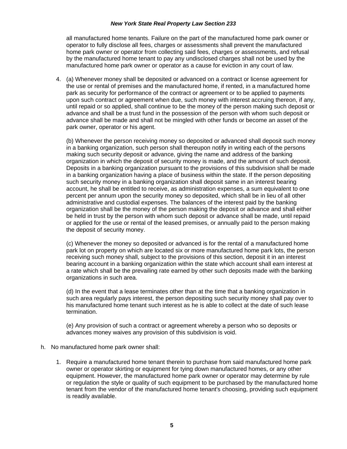all manufactured home tenants. Failure on the part of the manufactured home park owner or operator to fully disclose all fees, charges or assessments shall prevent the manufactured home park owner or operator from collecting said fees, charges or assessments, and refusal by the manufactured home tenant to pay any undisclosed charges shall not be used by the manufactured home park owner or operator as a cause for eviction in any court of law.

4. (a) Whenever money shall be deposited or advanced on a contract or license agreement for the use or rental of premises and the manufactured home, if rented, in a manufactured home park as security for performance of the contract or agreement or to be applied to payments upon such contract or agreement when due, such money with interest accruing thereon, if any, until repaid or so applied, shall continue to be the money of the person making such deposit or advance and shall be a trust fund in the possession of the person with whom such deposit or advance shall be made and shall not be mingled with other funds or become an asset of the park owner, operator or his agent.

(b) Whenever the person receiving money so deposited or advanced shall deposit such money in a banking organization, such person shall thereupon notify in writing each of the persons making such security deposit or advance, giving the name and address of the banking organization in which the deposit of security money is made, and the amount of such deposit. Deposits in a banking organization pursuant to the provisions of this subdivision shall be made in a banking organization having a place of business within the state. If the person depositing such security money in a banking organization shall deposit same in an interest bearing account, he shall be entitled to receive, as administration expenses, a sum equivalent to one percent per annum upon the security money so deposited, which shall be in lieu of all other administrative and custodial expenses. The balances of the interest paid by the banking organization shall be the money of the person making the deposit or advance and shall either be held in trust by the person with whom such deposit or advance shall be made, until repaid or applied for the use or rental of the leased premises, or annually paid to the person making the deposit of security money.

(c) Whenever the money so deposited or advanced is for the rental of a manufactured home park lot on property on which are located six or more manufactured home park lots, the person receiving such money shall, subject to the provisions of this section, deposit it in an interest bearing account in a banking organization within the state which account shall earn interest at a rate which shall be the prevailing rate earned by other such deposits made with the banking organizations in such area.

(d) In the event that a lease terminates other than at the time that a banking organization in such area regularly pays interest, the person depositing such security money shall pay over to his manufactured home tenant such interest as he is able to collect at the date of such lease termination.

(e) Any provision of such a contract or agreement whereby a person who so deposits or advances money waives any provision of this subdivision is void.

- h. No manufactured home park owner shall:
	- 1. Require a manufactured home tenant therein to purchase from said manufactured home park owner or operator skirting or equipment for tying down manufactured homes, or any other equipment. However, the manufactured home park owner or operator may determine by rule or regulation the style or quality of such equipment to be purchased by the manufactured home tenant from the vendor of the manufactured home tenant's choosing, providing such equipment is readily available.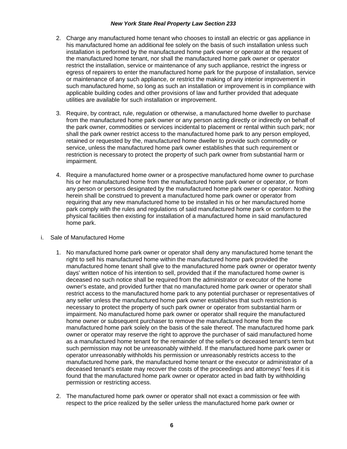- 2. Charge any manufactured home tenant who chooses to install an electric or gas appliance in his manufactured home an additional fee solely on the basis of such installation unless such installation is performed by the manufactured home park owner or operator at the request of the manufactured home tenant, nor shall the manufactured home park owner or operator restrict the installation, service or maintenance of any such appliance, restrict the ingress or egress of repairers to enter the manufactured home park for the purpose of installation, service or maintenance of any such appliance, or restrict the making of any interior improvement in such manufactured home, so long as such an installation or improvement is in compliance with applicable building codes and other provisions of law and further provided that adequate utilities are available for such installation or improvement.
- 3. Require, by contract, rule, regulation or otherwise, a manufactured home dweller to purchase from the manufactured home park owner or any person acting directly or indirectly on behalf of the park owner, commodities or services incidental to placement or rental within such park; nor shall the park owner restrict access to the manufactured home park to any person employed, retained or requested by the, manufactured home dweller to provide such commodity or service, unless the manufactured home park owner establishes that such requirement or restriction is necessary to protect the property of such park owner from substantial harm or impairment.
- 4. Require a manufactured home owner or a prospective manufactured home owner to purchase his or her manufactured home from the manufactured home park owner or operator, or from any person or persons designated by the manufactured home park owner or operator. Nothing herein shall be construed to prevent a manufactured home park owner or operator from requiring that any new manufactured home to be installed in his or her manufactured home park comply with the rules and regulations of said manufactured home park or conform to the physical facilities then existing for installation of a manufactured home in said manufactured home park.
- i. Sale of Manufactured Home
	- 1. No manufactured home park owner or operator shall deny any manufactured home tenant the right to sell his manufactured home within the manufactured home park provided the manufactured home tenant shall give to the manufactured home park owner or operator twenty days' written notice of his intention to sell, provided that if the manufactured home owner is deceased no such notice shall be required from the administrator or executor of the home owner's estate, and provided further that no manufactured home park owner or operator shall restrict access to the manufactured home park to any potential purchaser or representatives of any seller unless the manufactured home park owner establishes that such restriction is necessary to protect the property of such park owner or operator from substantial harm or impairment. No manufactured home park owner or operator shall require the manufactured home owner or subsequent purchaser to remove the manufactured home from the manufactured home park solely on the basis of the sale thereof. The manufactured home park owner or operator may reserve the right to approve the purchaser of said manufactured home as a manufactured home tenant for the remainder of the seller's or deceased tenant's term but such permission may not be unreasonably withheld. If the manufactured home park owner or operator unreasonably withholds his permission or unreasonably restricts access to the manufactured home park, the manufactured home tenant or the executor or administrator of a deceased tenant's estate may recover the costs of the proceedings and attorneys' fees if it is found that the manufactured home park owner or operator acted in bad faith by withholding permission or restricting access.
	- 2. The manufactured home park owner or operator shall not exact a commission or fee with respect to the price realized by the seller unless the manufactured home park owner or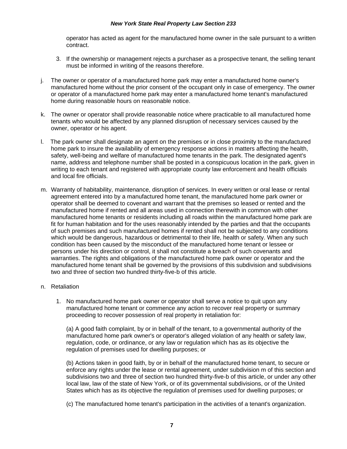operator has acted as agent for the manufactured home owner in the sale pursuant to a written contract.

- 3. If the ownership or management rejects a purchaser as a prospective tenant, the selling tenant must be informed in writing of the reasons therefore.
- j. The owner or operator of a manufactured home park may enter a manufactured home owner's manufactured home without the prior consent of the occupant only in case of emergency. The owner or operator of a manufactured home park may enter a manufactured home tenant's manufactured home during reasonable hours on reasonable notice.
- k. The owner or operator shall provide reasonable notice where practicable to all manufactured home tenants who would be affected by any planned disruption of necessary services caused by the owner, operator or his agent.
- l. The park owner shall designate an agent on the premises or in close proximity to the manufactured home park to insure the availability of emergency response actions in matters affecting the health, safety, well-being and welfare of manufactured home tenants in the park. The designated agent's name, address and telephone number shall be posted in a conspicuous location in the park, given in writing to each tenant and registered with appropriate county law enforcement and health officials and local fire officials.
- m. Warranty of habitability, maintenance, disruption of services. In every written or oral lease or rental agreement entered into by a manufactured home tenant, the manufactured home park owner or operator shall be deemed to covenant and warrant that the premises so leased or rented and the manufactured home if rented and all areas used in connection therewith in common with other manufactured home tenants or residents including all roads within the manufactured home park are fit for human habitation and for the uses reasonably intended by the parties and that the occupants of such premises and such manufactured homes if rented shall not be subjected to any conditions which would be dangerous, hazardous or detrimental to their life, health or safety. When any such condition has been caused by the misconduct of the manufactured home tenant or lessee or persons under his direction or control, it shall not constitute a breach of such covenants and warranties. The rights and obligations of the manufactured home park owner or operator and the manufactured home tenant shall be governed by the provisions of this subdivision and subdivisions two and three of section two hundred thirty-five-b of this article.
- n. Retaliation
	- 1. No manufactured home park owner or operator shall serve a notice to quit upon any manufactured home tenant or commence any action to recover real property or summary proceeding to recover possession of real property in retaliation for:

(a) A good faith complaint, by or in behalf of the tenant, to a governmental authority of the manufactured home park owner's or operator's alleged violation of any health or safety law, regulation, code, or ordinance, or any law or regulation which has as its objective the regulation of premises used for dwelling purposes; or

(b) Actions taken in good faith, by or in behalf of the manufactured home tenant, to secure or enforce any rights under the lease or rental agreement, under subdivision m of this section and subdivisions two and three of section two hundred thirty-five-b of this article, or under any other local law, law of the state of New York, or of its governmental subdivisions, or of the United States which has as its objective the regulation of premises used for dwelling purposes; or

(c) The manufactured home tenant's participation in the activities of a tenant's organization.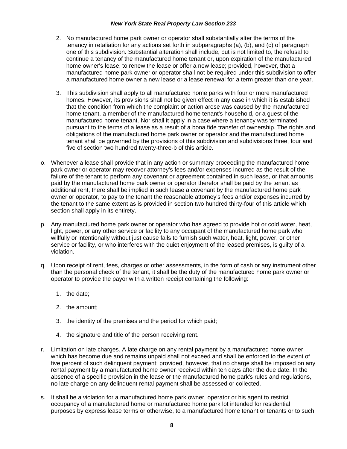- 2. No manufactured home park owner or operator shall substantially alter the terms of the tenancy in retaliation for any actions set forth in subparagraphs (a), (b), and (c) of paragraph one of this subdivision. Substantial alteration shall include, but is not limited to, the refusal to continue a tenancy of the manufactured home tenant or, upon expiration of the manufactured home owner's lease, to renew the lease or offer a new lease; provided, however, that a manufactured home park owner or operator shall not be required under this subdivision to offer a manufactured home owner a new lease or a lease renewal for a term greater than one year.
- 3. This subdivision shall apply to all manufactured home parks with four or more manufactured homes. However, its provisions shall not be given effect in any case in which it is established that the condition from which the complaint or action arose was caused by the manufactured home tenant, a member of the manufactured home tenant's household, or a guest of the manufactured home tenant. Nor shall it apply in a case where a tenancy was terminated pursuant to the terms of a lease as a result of a bona fide transfer of ownership. The rights and obligations of the manufactured home park owner or operator and the manufactured home tenant shall be governed by the provisions of this subdivision and subdivisions three, four and five of section two hundred twenty-three-b of this article.
- o. Whenever a lease shall provide that in any action or summary proceeding the manufactured home park owner or operator may recover attorney's fees and/or expenses incurred as the result of the failure of the tenant to perform any covenant or agreement contained in such lease, or that amounts paid by the manufactured home park owner or operator therefor shall be paid by the tenant as additional rent, there shall be implied in such lease a covenant by the manufactured home park owner or operator, to pay to the tenant the reasonable attorney's fees and/or expenses incurred by the tenant to the same extent as is provided in section two hundred thirty-four of this article which section shall apply in its entirety.
- p. Any manufactured home park owner or operator who has agreed to provide hot or cold water, heat, light, power, or any other service or facility to any occupant of the manufactured home park who willfully or intentionally without just cause fails to furnish such water, heat, light, power, or other service or facility, or who interferes with the quiet enjoyment of the leased premises, is guilty of a violation.
- q. Upon receipt of rent, fees, charges or other assessments, in the form of cash or any instrument other than the personal check of the tenant, it shall be the duty of the manufactured home park owner or operator to provide the payor with a written receipt containing the following:
	- 1. the date;
	- 2. the amount;
	- 3. the identity of the premises and the period for which paid;
	- 4. the signature and title of the person receiving rent.
- r. Limitation on late charges. A late charge on any rental payment by a manufactured home owner which has become due and remains unpaid shall not exceed and shall be enforced to the extent of five percent of such delinquent payment; provided, however, that no charge shall be imposed on any rental payment by a manufactured home owner received within ten days after the due date. In the absence of a specific provision in the lease or the manufactured home park's rules and regulations, no late charge on any delinquent rental payment shall be assessed or collected.
- s. It shall be a violation for a manufactured home park owner, operator or his agent to restrict occupancy of a manufactured home or manufactured home park lot intended for residential purposes by express lease terms or otherwise, to a manufactured home tenant or tenants or to such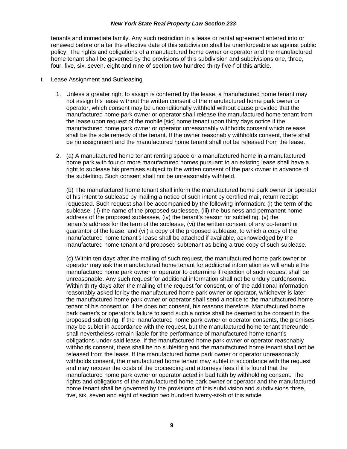tenants and immediate family. Any such restriction in a lease or rental agreement entered into or renewed before or after the effective date of this subdivision shall be unenforceable as against public policy. The rights and obligations of a manufactured home owner or operator and the manufactured home tenant shall be governed by the provisions of this subdivision and subdivisions one, three, four, five, six, seven, eight and nine of section two hundred thirty five-f of this article.

- t. Lease Assignment and Subleasing
	- 1. Unless a greater right to assign is conferred by the lease, a manufactured home tenant may not assign his lease without the written consent of the manufactured home park owner or operator, which consent may be unconditionally withheld without cause provided that the manufactured home park owner or operator shall release the manufactured home tenant from the lease upon request of the mobile [sic] home tenant upon thirty days notice if the manufactured home park owner or operator unreasonably withholds consent which release shall be the sole remedy of the tenant. If the owner reasonably withholds consent, there shall be no assignment and the manufactured home tenant shall not be released from the lease.
	- 2. (a) A manufactured home tenant renting space or a manufactured home in a manufactured home park with four or more manufactured homes pursuant to an existing lease shall have a right to sublease his premises subject to the written consent of the park owner in advance of the subletting. Such consent shall not be unreasonably withheld.

(b) The manufactured home tenant shall inform the manufactured home park owner or operator of his intent to sublease by mailing a notice of such intent by certified mail, return receipt requested. Such request shall be accompanied by the following information: (i) the term of the sublease, (ii) the name of the proposed sublessee, (iii) the business and permanent home address of the proposed sublessee, (iv) the tenant's reason for subletting, (v) the tenant's address for the term of the sublease, (vi) the written consent of any co-tenant or guarantor of the lease, and (vii) a copy of the proposed sublease, to which a copy of the manufactured home tenant's lease shall be attached if available, acknowledged by the manufactured home tenant and proposed subtenant as being a true copy of such sublease.

(c) Within ten days after the mailing of such request, the manufactured home park owner or operator may ask the manufactured home tenant for additional information as will enable the manufactured home park owner or operator to determine if rejection of such request shall be unreasonable. Any such request for additional information shall not be unduly burdensome. Within thirty days after the mailing of the request for consent, or of the additional information reasonably asked for by the manufactured home park owner or operator, whichever is later, the manufactured home park owner or operator shall send a notice to the manufactured home tenant of his consent or, if he does not consent, his reasons therefore. Manufactured home park owner's or operator's failure to send such a notice shall be deemed to be consent to the proposed subletting. If the manufactured home park owner or operator consents, the premises may be sublet in accordance with the request, but the manufactured home tenant thereunder, shall nevertheless remain liable for the performance of manufactured home tenant's obligations under said lease. If the manufactured home park owner or operator reasonably withholds consent, there shall be no subletting and the manufactured home tenant shall not be released from the lease. If the manufactured home park owner or operator unreasonably withholds consent, the manufactured home tenant may sublet in accordance with the request and may recover the costs of the proceeding and attorneys fees if it is found that the manufactured home park owner or operator acted in bad faith by withholding consent. The rights and obligations of the manufactured home park owner or operator and the manufactured home tenant shall be governed by the provisions of this subdivision and subdivisions three, five, six, seven and eight of section two hundred twenty-six-b of this article.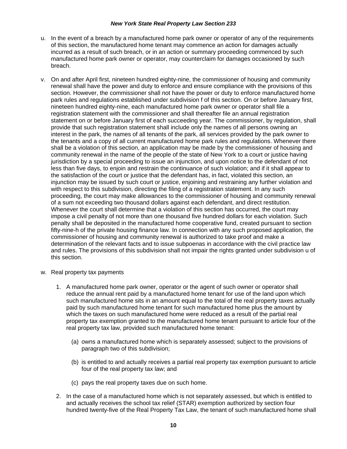- u. In the event of a breach by a manufactured home park owner or operator of any of the requirements of this section, the manufactured home tenant may commence an action for damages actually incurred as a result of such breach, or in an action or summary proceeding commenced by such manufactured home park owner or operator, may counterclaim for damages occasioned by such breach.
- v. On and after April first, nineteen hundred eighty-nine, the commissioner of housing and community renewal shall have the power and duty to enforce and ensure compliance with the provisions of this section. However, the commissioner shall not have the power or duty to enforce manufactured home park rules and regulations established under subdivision f of this section. On or before January first, nineteen hundred eighty-nine, each manufactured home park owner or operator shall file a registration statement with the commissioner and shall thereafter file an annual registration statement on or before January first of each succeeding year. The commissioner, by regulation, shall provide that such registration statement shall include only the names of all persons owning an interest in the park, the names of all tenants of the park, all services provided by the park owner to the tenants and a copy of all current manufactured home park rules and regulations. Whenever there shall be a violation of this section, an application may be made by the commissioner of housing and community renewal in the name of the people of the state of New York to a court or justice having jurisdiction by a special proceeding to issue an injunction, and upon notice to the defendant of not less than five days, to enjoin and restrain the continuance of such violation; and if it shall appear to the satisfaction of the court or justice that the defendant has, in fact, violated this section, an injunction may be issued by such court or justice, enjoining and restraining any further violation and with respect to this subdivision, directing the filing of a registration statement. In any such proceeding, the court may make allowances to the commissioner of housing and community renewal of a sum not exceeding two thousand dollars against each defendant, and direct restitution. Whenever the court shall determine that a violation of this section has occurred, the court may impose a civil penalty of not more than one thousand five hundred dollars for each violation. Such penalty shall be deposited in the manufactured home cooperative fund, created pursuant to section fifty-nine-h of the private housing finance law. In connection with any such proposed application, the commissioner of housing and community renewal is authorized to take proof and make a determination of the relevant facts and to issue subpoenas in accordance with the civil practice law and rules. The provisions of this subdivision shall not impair the rights granted under subdivision u of this section.
- w. Real property tax payments
	- 1. A manufactured home park owner, operator or the agent of such owner or operator shall reduce the annual rent paid by a manufactured home tenant for use of the land upon which such manufactured home sits in an amount equal to the total of the real property taxes actually paid by such manufactured home tenant for such manufactured home plus the amount by which the taxes on such manufactured home were reduced as a result of the partial real property tax exemption granted to the manufactured home tenant pursuant to article four of the real property tax law, provided such manufactured home tenant:
		- (a) owns a manufactured home which is separately assessed; subject to the provisions of paragraph two of this subdivision;
		- (b) is entitled to and actually receives a partial real property tax exemption pursuant to article four of the real property tax law; and
		- (c) pays the real property taxes due on such home.
	- 2. In the case of a manufactured home which is not separately assessed, but which is entitled to and actually receives the school tax relief (STAR) exemption authorized by section four hundred twenty-five of the Real Property Tax Law, the tenant of such manufactured home shall